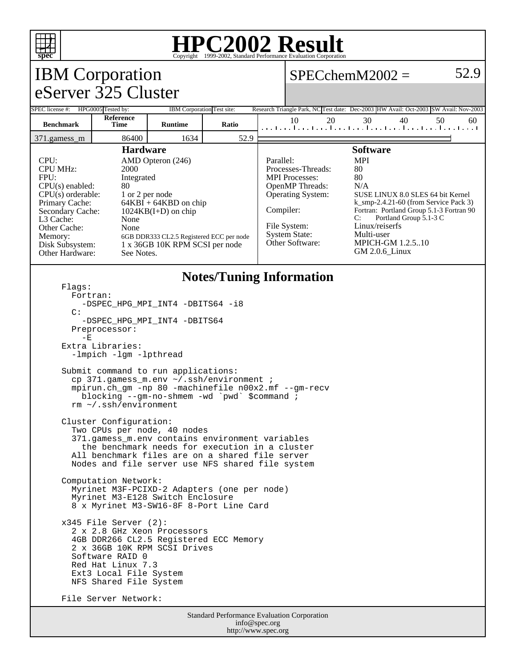

## **HPC2002 Result** Copyright ©1999-2002, Standard Performa

#### IBM Corporation eServer 325 Cluster  $SPECchemM2002 = 52.9$ SPEC license #: HPG0005 Tested by: IBM Corporation Test site: Research Triangle Park, NC Test date: Dec-2003 HW Avail: Oct-2003 SW Avail: Nov-2003 **Benchmark Reference Time Runtime Ratio** 10 20 30 40 50 60 371.gamess\_m 86400 1634 52.9 **Hardware** CPU: AMD Opteron (246) CPU MHz: 2000 FPU: Integrated CPU(s) enabled: 80<br>CPU(s) orderable: 1 or 2 per node CPU(s) orderable:<br>Primary Cache:  $64KBI + 64KBD$  on chip Secondary Cache: 1024KB(I+D) on chip L3 Cache: None Other Cache: None Memory: 6GB DDR333 CL2.5 Registered ECC per node<br>Disk Subsystem: 1 x 36GB 10K RPM SCSI per node 1 x 36GB 10K RPM SCSI per node Other Hardware: See Notes. **Software** Parallel: MPI Processes-Threads: 80 MPI Processes: 80 OpenMP Threads: N/A Operating System: SUSE LINUX 8.0 SLES 64 bit Kernel k\_smp-2.4.21-60 (from Service Pack 3) Compiler: Fortran: Portland Group 5.1-3 Fortran 90<br>C: Portland Group 5.1-3 C Portland Group 5.1-3 C File System: Linux/reiserfs System State: Multi-user<br>Other Software: MPICH-Gl **MPICH-GM 1.2.5..10** GM 2.0.6\_Linux **Notes/Tuning Information** Flags: Fortran: -DSPEC HPG MPI INT4 -DBITS64 -i8 C: -DSPEC\_HPG\_MPI\_INT4 -DBITS64 Preprocessor:  $-E$  Extra Libraries: -lmpich -lgm -lpthread Submit command to run applications: cp 371.gamess\_m.env ~/.ssh/environment ; mpirun.ch\_gm -np 80 -machinefile n00x2.mf --gm-recv blocking --gm-no-shmem -wd `pwd` \$command ; rm ~/.ssh/environment Cluster Configuration: Two CPUs per node, 40 nodes 371.gamess\_m.env contains environment variables the benchmark needs for execution in a cluster All benchmark files are on a shared file server Nodes and file server use NFS shared file system Computation Network: Myrinet M3F-PCIXD-2 Adapters (one per node) Myrinet M3-E128 Switch Enclosure 8 x Myrinet M3-SW16-8F 8-Port Line Card x345 File Server (2): 2 x 2.8 GHz Xeon Processors 4GB DDR266 CL2.5 Registered ECC Memory 2 x 36GB 10K RPM SCSI Drives Software RAID 0 Red Hat Linux 7.3 Ext3 Local File System NFS Shared File System File Server Network:

Standard Performance Evaluation Corporation info@spec.org http://www.spec.org